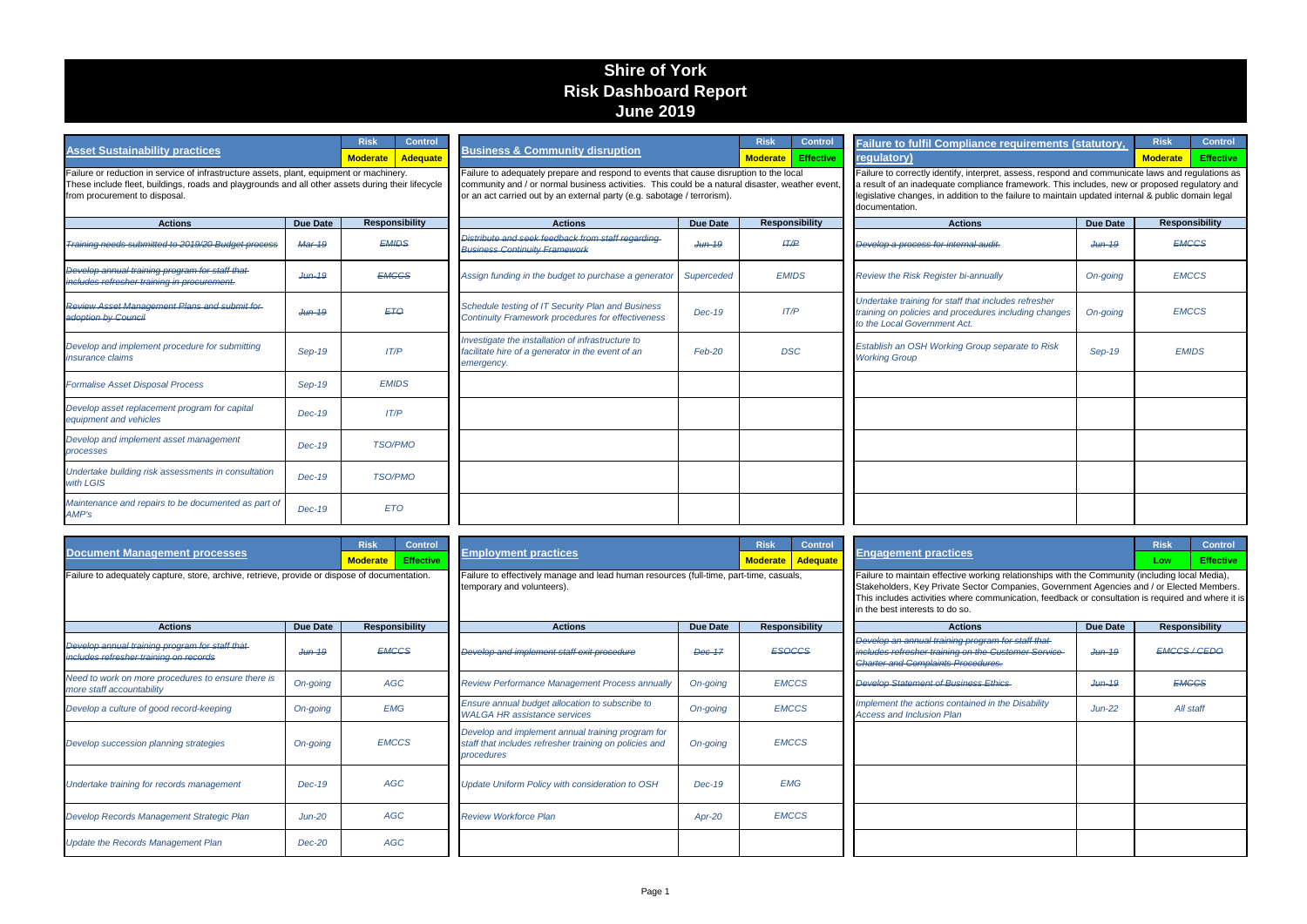| <b>Asset Sustainability practices</b>                                                                                                                                                                                          | <b>Control</b><br><b>Risk</b><br><b>Moderate</b><br>Adequate |                                     |                                                                                                                                                                                                                                                                    |                   | <b>Control</b><br>Risk<br><b>Effective</b><br><b>Moderate</b> | Failure to fulfil Compliance requirements (statutory,<br>regulatory)                                                                                                                                                                                                                                                                  |                 | <b>Control</b><br><b>Risk</b><br><b>Moderate</b><br><b>Effective</b> |  |
|--------------------------------------------------------------------------------------------------------------------------------------------------------------------------------------------------------------------------------|--------------------------------------------------------------|-------------------------------------|--------------------------------------------------------------------------------------------------------------------------------------------------------------------------------------------------------------------------------------------------------------------|-------------------|---------------------------------------------------------------|---------------------------------------------------------------------------------------------------------------------------------------------------------------------------------------------------------------------------------------------------------------------------------------------------------------------------------------|-----------------|----------------------------------------------------------------------|--|
| Failure or reduction in service of infrastructure assets, plant, equipment or machinery.<br>These include fleet, buildings, roads and playgrounds and all other assets during their lifecycle<br>from procurement to disposal. |                                                              |                                     | Failure to adequately prepare and respond to events that cause disruption to the local<br>community and / or normal business activities. This could be a natural disaster, weather even<br>or an act carried out by an external party (e.g. sabotage / terrorism). |                   |                                                               | Failure to correctly identify, interpret, assess, respond and communicate laws and regulations as<br>a result of an inadequate compliance framework. This includes, new or proposed regulatory and<br>legislative changes, in addition to the failure to maintain updated internal & public domain legal<br>documentation.            |                 |                                                                      |  |
| <b>Actions</b>                                                                                                                                                                                                                 | <b>Due Date</b>                                              | <b>Responsibility</b>               | <b>Actions</b>                                                                                                                                                                                                                                                     | <b>Due Date</b>   | <b>Responsibility</b>                                         | <b>Actions</b>                                                                                                                                                                                                                                                                                                                        | <b>Due Date</b> | <b>Responsibility</b>                                                |  |
| Training needs submitted to 2019/20 Budget process                                                                                                                                                                             | Mar-19                                                       | <i><b>EMIDS</b></i>                 | Distribute and seek feedback from staff regarding<br><b>Business Continuity Framework</b>                                                                                                                                                                          | <del>Jun-19</del> | <b>HT/P</b>                                                   | Develop a process for internal audit.                                                                                                                                                                                                                                                                                                 | $Jthn-19$       | <b>EMGGS</b>                                                         |  |
| Develop annual training program for staff that<br>includes refresher training in procurement.                                                                                                                                  | $Jun-19$                                                     | <b>EMGGS</b>                        | Assign funding in the budget to purchase a generato.                                                                                                                                                                                                               | Superceded        | <b>EMIDS</b>                                                  | Review the Risk Register bi-annually                                                                                                                                                                                                                                                                                                  | On-going        | <b>EMCCS</b>                                                         |  |
| <b>Review Asset Management Plans and submit for-</b><br>adoption by Council                                                                                                                                                    | $Jun-19$                                                     | ET <sub>O</sub>                     | Schedule testing of IT Security Plan and Business<br><b>Continuity Framework procedures for effectiveness</b>                                                                                                                                                      | $Dec-19$          | IT/P                                                          | Undertake training for staff that includes refresher<br>training on policies and procedures including changes<br>to the Local Government Act.                                                                                                                                                                                         | On-going        | <b>EMCCS</b>                                                         |  |
| Develop and implement procedure for submitting<br><i>insurance claims</i>                                                                                                                                                      | Sep-19                                                       | IT/P                                | Investigate the installation of infrastructure to<br>facilitate hire of a generator in the event of an<br>emergency.                                                                                                                                               | Feb-20            | <b>DSC</b>                                                    | Establish an OSH Working Group separate to Risk<br><b>Working Group</b>                                                                                                                                                                                                                                                               | Sep-19          | <b>EMIDS</b>                                                         |  |
| <b>Formalise Asset Disposal Process</b>                                                                                                                                                                                        | Sep-19                                                       | <b>EMIDS</b>                        |                                                                                                                                                                                                                                                                    |                   |                                                               |                                                                                                                                                                                                                                                                                                                                       |                 |                                                                      |  |
| Develop asset replacement program for capital<br>equipment and vehicles                                                                                                                                                        | $Dec-19$                                                     | IT/P                                |                                                                                                                                                                                                                                                                    |                   |                                                               |                                                                                                                                                                                                                                                                                                                                       |                 |                                                                      |  |
| Develop and implement asset management<br>processes                                                                                                                                                                            | $Dec-19$                                                     | <b>TSO/PMO</b>                      |                                                                                                                                                                                                                                                                    |                   |                                                               |                                                                                                                                                                                                                                                                                                                                       |                 |                                                                      |  |
| Undertake building risk assessments in consultation<br>with LGIS                                                                                                                                                               | $Dec-19$                                                     | <b>TSO/PMO</b>                      |                                                                                                                                                                                                                                                                    |                   |                                                               |                                                                                                                                                                                                                                                                                                                                       |                 |                                                                      |  |
| Maintenance and repairs to be documented as part of<br>AMP's                                                                                                                                                                   | $Dec-19$                                                     | <b>ETO</b>                          |                                                                                                                                                                                                                                                                    |                   |                                                               |                                                                                                                                                                                                                                                                                                                                       |                 |                                                                      |  |
|                                                                                                                                                                                                                                |                                                              |                                     |                                                                                                                                                                                                                                                                    |                   |                                                               |                                                                                                                                                                                                                                                                                                                                       |                 |                                                                      |  |
| <b>Document Management processes</b>                                                                                                                                                                                           |                                                              | <b>Risk</b><br><b>Control</b>       | <b>Employment practices</b>                                                                                                                                                                                                                                        |                   | <b>Risk</b><br><b>Control</b>                                 | <b>Engagement practices</b>                                                                                                                                                                                                                                                                                                           |                 | <b>Control</b><br><b>Risk</b>                                        |  |
|                                                                                                                                                                                                                                |                                                              | <b>Effective</b><br><b>Moderate</b> |                                                                                                                                                                                                                                                                    |                   | Adequate<br><b>Moderate</b>                                   |                                                                                                                                                                                                                                                                                                                                       |                 | <b>Effective</b><br>Low                                              |  |
| Failure to adequately capture, store, archive, retrieve, provide or dispose of documentation.                                                                                                                                  |                                                              |                                     | Failure to effectively manage and lead human resources (full-time, part-time, casuals,<br>temporary and volunteers).                                                                                                                                               |                   |                                                               | Failure to maintain effective working relationships with the Community (including local Media),<br>Stakeholders, Key Private Sector Companies, Government Agencies and / or Elected Members.<br>This includes activities where communication, feedback or consultation is required and where it is<br>in the best interests to do so. |                 |                                                                      |  |
| <b>Actions</b>                                                                                                                                                                                                                 | <b>Due Date</b>                                              | <b>Responsibility</b>               | <b>Actions</b>                                                                                                                                                                                                                                                     | <b>Due Date</b>   | <b>Responsibility</b>                                         | <b>Actions</b>                                                                                                                                                                                                                                                                                                                        | <b>Due Date</b> | <b>Responsibility</b>                                                |  |
| Develop annual training program for staff that<br>includes refresher training on records                                                                                                                                       | $Jun-19$                                                     | <b>EMCCS</b>                        | Develop and implement staff exit procedure                                                                                                                                                                                                                         | <b>Dec-17</b>     | <b>ESOCCS</b>                                                 | Develop an annual training program for staff that<br>includes refresher training on the Customer Service<br><b>Charter and Complaints Procedures.</b>                                                                                                                                                                                 | $Jun-19$        | <b>EMCCS/CEDO</b>                                                    |  |
| Need to work on more procedures to ensure there is<br>more staff accountability                                                                                                                                                | On-going                                                     | AGC                                 | Review Performance Management Process annually                                                                                                                                                                                                                     | On-going          | <b>EMCCS</b><br><b>Develop Statement of Business Ethics</b>   |                                                                                                                                                                                                                                                                                                                                       | $Jthn-19$       | <b>EMCCS</b>                                                         |  |
| Develop a culture of good record-keeping                                                                                                                                                                                       | On-going                                                     | <b>EMG</b>                          | Ensure annual budget allocation to subscribe to<br><b>WALGA HR assistance services</b>                                                                                                                                                                             | On-going          | <b>EMCCS</b>                                                  | Implement the actions contained in the Disability<br><b>Access and Inclusion Plan</b>                                                                                                                                                                                                                                                 | $Jun-22$        | All staff                                                            |  |
| Develop succession planning strategies                                                                                                                                                                                         | On-going                                                     | <b>EMCCS</b>                        | Develop and implement annual training program for<br>staff that includes refresher training on policies and<br>procedures                                                                                                                                          | On-going          | <b>EMCCS</b>                                                  |                                                                                                                                                                                                                                                                                                                                       |                 |                                                                      |  |
| Undertake training for records management                                                                                                                                                                                      | Dec-19                                                       | AGC                                 | Update Uniform Policy with consideration to OSH                                                                                                                                                                                                                    | Dec-19            | <b>EMG</b>                                                    |                                                                                                                                                                                                                                                                                                                                       |                 |                                                                      |  |
| Develop Records Management Strategic Plan                                                                                                                                                                                      | $Jun-20$                                                     | AGC                                 | <b>Review Workforce Plan</b>                                                                                                                                                                                                                                       | Apr-20            | <b>EMCCS</b>                                                  |                                                                                                                                                                                                                                                                                                                                       |                 |                                                                      |  |
| <b>Update the Records Management Plan</b>                                                                                                                                                                                      | Dec-20                                                       | AGC                                 |                                                                                                                                                                                                                                                                    |                   |                                                               |                                                                                                                                                                                                                                                                                                                                       |                 |                                                                      |  |

## **Shire of York Risk Dashboard Report June 2019**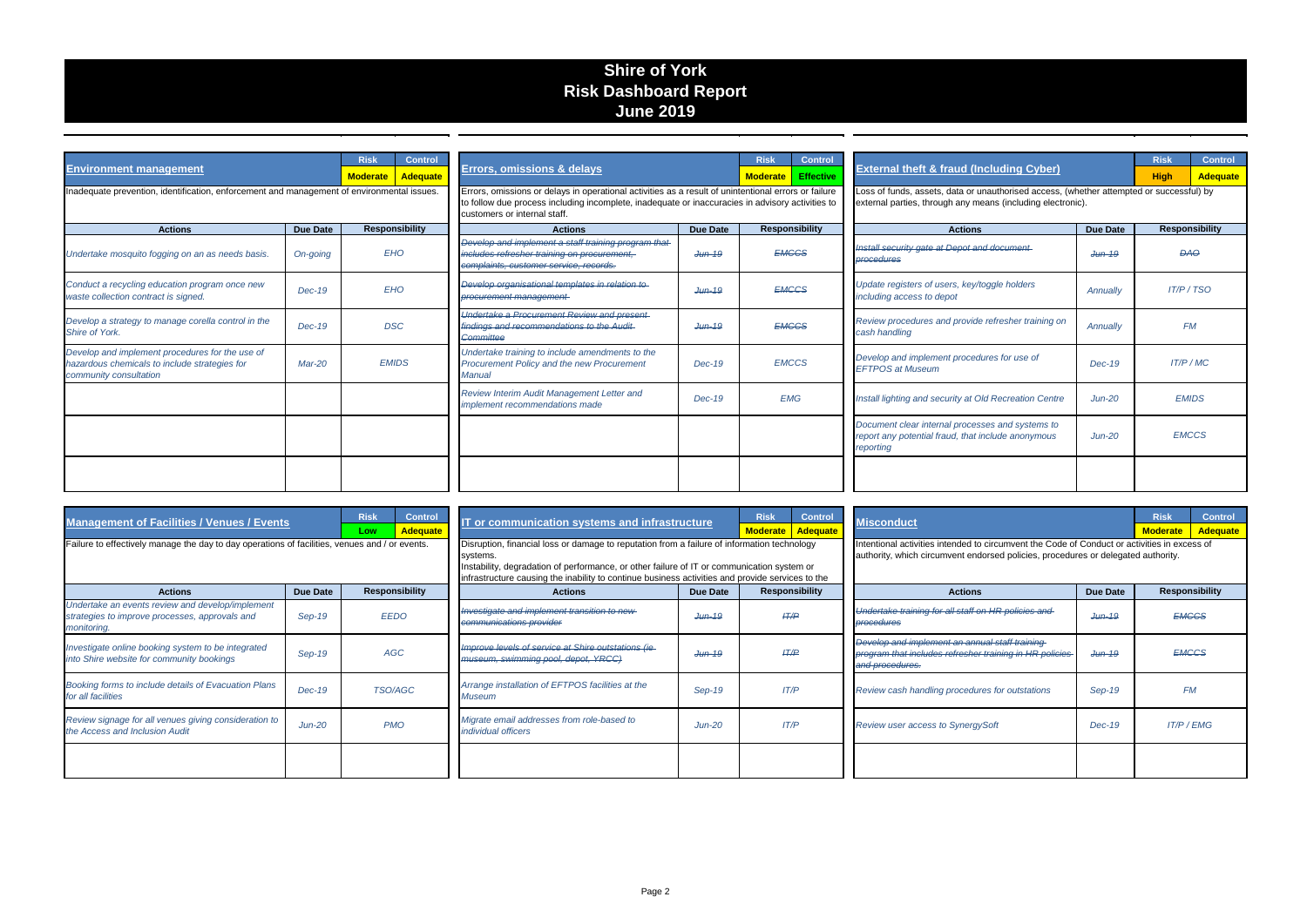## **Shire of York Risk Dashboard Report June 2019**

| <b>Environment management</b><br>Inadequate prevention, identification, enforcement and management of environmental issues. |                 | <b>Risk</b><br><b>Control</b><br>Adequate<br><b>Moderate</b> |                       | <b>Errors, omissions &amp; delays</b><br>Errors, omissions or delays in operational activities as a result of unintentional errors or failure      | <b>Control</b><br><b>Risk</b><br><b>Effective</b><br><b>Moderate</b> |              | <b>External theft &amp; fraud (Including Cyber)</b><br>Loss of funds, assets, data or unauthorised access, (whether attempted or successful) by | <b>Control</b><br><b>Risk</b><br><b>High</b><br><b>Adequate</b>                                                     |                 |                |                       |  |
|-----------------------------------------------------------------------------------------------------------------------------|-----------------|--------------------------------------------------------------|-----------------------|----------------------------------------------------------------------------------------------------------------------------------------------------|----------------------------------------------------------------------|--------------|-------------------------------------------------------------------------------------------------------------------------------------------------|---------------------------------------------------------------------------------------------------------------------|-----------------|----------------|-----------------------|--|
| <b>Actions</b>                                                                                                              | <b>Due Date</b> |                                                              | <b>Responsibility</b> | to follow due process including incomplete, inadequate or inaccuracies in advisory activities to<br>customers or internal staff.<br><b>Actions</b> | <b>Due Date</b>                                                      |              | <b>Responsibility</b>                                                                                                                           | external parties, through any means (including electronic).<br><b>Actions</b>                                       | <b>Due Date</b> |                | <b>Responsibility</b> |  |
| Undertake mosquito fogging on an as needs basis.                                                                            | On-going        |                                                              | <b>EHO</b>            | Develop and implement a staff training program that<br>includes refresher training on procurement,<br>complaints, customer service, records.       | $Jun-19$                                                             |              | <b>EMCCS</b>                                                                                                                                    | Install security gate at Depot and document-<br><b>procedures</b>                                                   | $Jthn-19$       | <b>DAO</b>     |                       |  |
| Conduct a recycling education program once new<br>waste collection contract is signed.                                      | $Dec-19$        | <b>EHO</b>                                                   |                       | Develop organisational templates in relation to<br>procurement management                                                                          | $Jun-19$                                                             | <b>EMCCS</b> |                                                                                                                                                 | Update registers of users, key/toggle holders<br>including access to depot                                          | Annually        | $IT/P$ / $TSO$ |                       |  |
| Develop a strategy to manage corella control in the<br>Shire of York.                                                       | $Dec-19$        | <b>DSC</b>                                                   |                       | Undertake a Procurement Review and present-<br>findings and recommendations to the Audit-<br>Committee                                             | <del>Jun-19</del>                                                    |              | <b>EMCCS</b>                                                                                                                                    | Review procedures and provide refresher training on<br>cash handling                                                | Annually        |                | <b>FM</b>             |  |
| Develop and implement procedures for the use of<br>hazardous chemicals to include strategies for<br>community consultation  | Mar-20          |                                                              | <b>EMIDS</b>          | Undertake training to include amendments to the<br>Procurement Policy and the new Procurement<br><b>Manual</b>                                     | $Dec-19$                                                             |              | <b>EMCCS</b>                                                                                                                                    | Develop and implement procedures for use of<br><b>EFTPOS at Museum</b>                                              | $Dec-19$        |                | IT/P/MC               |  |
|                                                                                                                             |                 |                                                              |                       | Review Interim Audit Management Letter and<br><i>implement recommendations made</i>                                                                | $Dec-19$                                                             | <b>EMG</b>   |                                                                                                                                                 | Install lighting and security at Old Recreation Centre                                                              | $Jun-20$        |                | <b>EMIDS</b>          |  |
|                                                                                                                             |                 |                                                              |                       |                                                                                                                                                    |                                                                      |              |                                                                                                                                                 | Document clear internal processes and systems to<br>report any potential fraud, that include anonymous<br>reporting | $Jun-20$        |                | <b>EMCCS</b>          |  |
|                                                                                                                             |                 |                                                              |                       |                                                                                                                                                    |                                                                      |              |                                                                                                                                                 |                                                                                                                     |                 |                |                       |  |

| <b>Management of Facilities / Venues / Events</b>                                                                 |                 | <b>Risk</b><br>Low | <b>Control</b><br><b>Adequate</b> | IT or communication systems and infrastructure                                                                                                                                                                                                                                                            |          | <b>Risk</b>    | <b>Control</b><br>Moderate   Adequate | <b>Misconduct</b>                                                                                                                                                                 | <b>Risk</b><br><b>Moderate</b> | <b>Control</b><br><b>Adequate</b> |                       |  |
|-------------------------------------------------------------------------------------------------------------------|-----------------|--------------------|-----------------------------------|-----------------------------------------------------------------------------------------------------------------------------------------------------------------------------------------------------------------------------------------------------------------------------------------------------------|----------|----------------|---------------------------------------|-----------------------------------------------------------------------------------------------------------------------------------------------------------------------------------|--------------------------------|-----------------------------------|-----------------------|--|
| Failure to effectively manage the day to day operations of facilities, venues and / or events.                    |                 |                    |                                   | Disruption, financial loss or damage to reputation from a failure of information technology<br>systems.<br>Instability, degradation of performance, or other failure of IT or communication system or<br>infrastructure causing the inability to continue business activities and provide services to the |          |                |                                       | Intentional activities intended to circumvent the Code of Conduct or activities in excess of<br>authority, which circumvent endorsed policies, procedures or delegated authority. |                                |                                   |                       |  |
| <b>Actions</b>                                                                                                    | <b>Due Date</b> |                    | <b>Responsibility</b>             | <b>Actions</b>                                                                                                                                                                                                                                                                                            | Due Date | Responsibility |                                       | <b>Actions</b>                                                                                                                                                                    | Due Date                       |                                   | <b>Responsibility</b> |  |
| Undertake an events review and develop/implement<br>strategies to improve processes, approvals and<br>monitoring. | Sep-19          | <b>EEDO</b>        |                                   | Investigate and implement transition to new-<br>communications provider                                                                                                                                                                                                                                   | $Jun-19$ |                | H/P                                   | Undertake training for all staff on HR policies and<br>procedures                                                                                                                 | <del>Jun-19</del>              |                                   | <b>EMCCS</b>          |  |
| Investigate online booking system to be integrated<br>into Shire website for community bookings                   | $Sep-19$        | <b>AGC</b>         |                                   | Improve levels of service at Shire outstations (ie-<br>museum, swimming pool, depot, YRCC)                                                                                                                                                                                                                | $Jun-19$ |                | H/P                                   | Develop and implement an annual staff training<br>program that includes refresher training in HR policies<br>and procedures.                                                      | <del>Jun-19</del>              |                                   | <b>EMCCS</b>          |  |
| Booking forms to include details of Evacuation Plans<br>for all facilities                                        | $Dec-19$        | <b>TSO/AGC</b>     |                                   | Arrange installation of EFTPOS facilities at the<br><b>Museum</b>                                                                                                                                                                                                                                         | Sep-19   |                | IT/P                                  | Review cash handling procedures for outstations                                                                                                                                   | Sep-19                         |                                   | <b>FM</b>             |  |
| Review signage for all venues giving consideration to<br>the Access and Inclusion Audit                           | $Jun-20$        | <b>PMO</b>         |                                   | Migrate email addresses from role-based to<br><i>individual officers</i>                                                                                                                                                                                                                                  | $Jun-20$ |                | IT/P                                  | Review user access to SynergySoft                                                                                                                                                 | $Dec-19$                       |                                   | <b>IT/P / EMG</b>     |  |
|                                                                                                                   |                 |                    |                                   |                                                                                                                                                                                                                                                                                                           |          |                |                                       |                                                                                                                                                                                   |                                |                                   |                       |  |